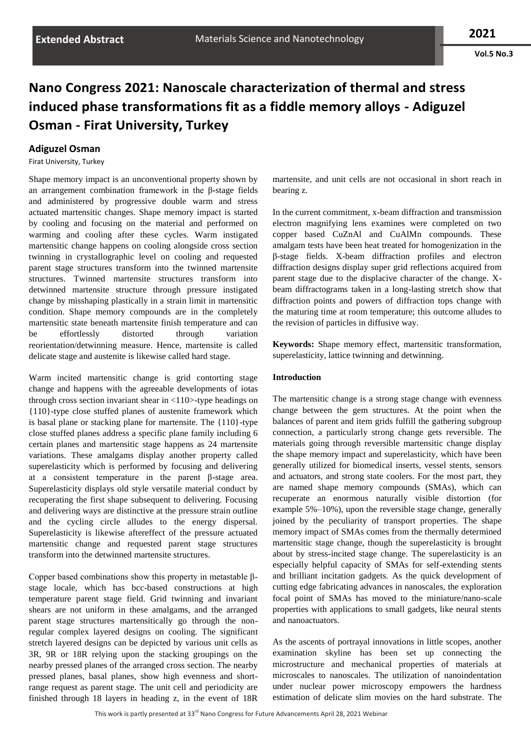**Vol.5 No.3**

## **Nano Congress 2021: Nanoscale characterization of thermal and stress induced phase transformations fit as a fiddle memory alloys - Adiguzel Osman - Firat University, Turkey**

## **Adiguzel Osman**

Firat University, Turkey

Shape memory impact is an unconventional property shown by an arrangement combination framework in the β-stage fields and administered by progressive double warm and stress actuated martensitic changes. Shape memory impact is started by cooling and focusing on the material and performed on warming and cooling after these cycles. Warm instigated martensitic change happens on cooling alongside cross section twinning in crystallographic level on cooling and requested parent stage structures transform into the twinned martensite structures. Twinned martensite structures transform into detwinned martensite structure through pressure instigated change by misshaping plastically in a strain limit in martensitic condition. Shape memory compounds are in the completely martensitic state beneath martensite finish temperature and can be effortlessly distorted through variation reorientation/detwinning measure. Hence, martensite is called delicate stage and austenite is likewise called hard stage.

Warm incited martensitic change is grid contorting stage change and happens with the agreeable developments of iotas through cross section invariant shear in  $\langle 110 \rangle$ -type headings on {110}-type close stuffed planes of austenite framework which is basal plane or stacking plane for martensite. The {110}-type close stuffed planes address a specific plane family including 6 certain planes and martensitic stage happens as 24 martensite variations. These amalgams display another property called superelasticity which is performed by focusing and delivering at a consistent temperature in the parent β-stage area. Superelasticity displays old style versatile material conduct by recuperating the first shape subsequent to delivering. Focusing and delivering ways are distinctive at the pressure strain outline and the cycling circle alludes to the energy dispersal. Superelasticity is likewise aftereffect of the pressure actuated martensitic change and requested parent stage structures transform into the detwinned martensite structures.

Copper based combinations show this property in metastable βstage locale, which has bcc-based constructions at high temperature parent stage field. Grid twinning and invariant shears are not uniform in these amalgams, and the arranged parent stage structures martensitically go through the nonregular complex layered designs on cooling. The significant stretch layered designs can be depicted by various unit cells as 3R, 9R or 18R relying upon the stacking groupings on the nearby pressed planes of the arranged cross section. The nearby pressed planes, basal planes, show high evenness and shortrange request as parent stage. The unit cell and periodicity are finished through 18 layers in heading z, in the event of 18R martensite, and unit cells are not occasional in short reach in bearing z.

In the current commitment, x-beam diffraction and transmission electron magnifying lens examines were completed on two copper based CuZnAl and CuAlMn compounds. These amalgam tests have been heat treated for homogenization in the β-stage fields. X-beam diffraction profiles and electron diffraction designs display super grid reflections acquired from parent stage due to the displacive character of the change. Xbeam diffractograms taken in a long-lasting stretch show that diffraction points and powers of diffraction tops change with the maturing time at room temperature; this outcome alludes to the revision of particles in diffusive way.

**Keywords:** Shape memory effect, martensitic transformation, superelasticity, lattice twinning and detwinning.

## **Introduction**

The martensitic change is a strong stage change with evenness change between the gem structures. At the point when the balances of parent and item grids fulfill the gathering subgroup connection, a particularly strong change gets reversible. The materials going through reversible martensitic change display the shape memory impact and superelasticity, which have been generally utilized for biomedical inserts, vessel stents, sensors and actuators, and strong state coolers. For the most part, they are named shape memory compounds (SMAs), which can recuperate an enormous naturally visible distortion (for example 5%–10%), upon the reversible stage change, generally joined by the peculiarity of transport properties. The shape memory impact of SMAs comes from the thermally determined martensitic stage change, though the superelasticity is brought about by stress-incited stage change. The superelasticity is an especially helpful capacity of SMAs for self-extending stents and brilliant incitation gadgets. As the quick development of cutting edge fabricating advances in nanoscales, the exploration focal point of SMAs has moved to the miniature/nano-scale properties with applications to small gadgets, like neural stents and nanoactuators.

As the ascents of portrayal innovations in little scopes, another examination skyline has been set up connecting the microstructure and mechanical properties of materials at microscales to nanoscales. The utilization of nanoindentation under nuclear power microscopy empowers the hardness estimation of delicate slim movies on the hard substrate. The